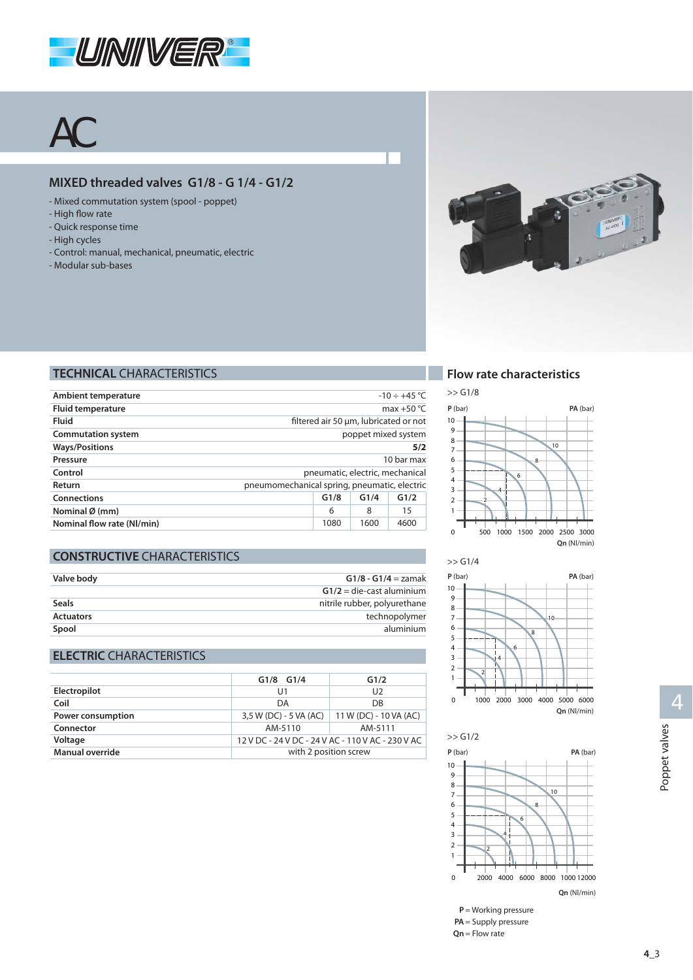

# AC

### **MIXED threaded valves G1/8 - G 1/4 - G1/2**

- Mixed commutation system (spool poppet)
- High flow rate
- Quick response time
- High cycles
- Control: manual, mechanical, pneumatic, electric
- Modular sub-bases



#### **TECHNICAL** CHARACTERISTICS

| Ambient temperature        | $-10 \div +45$ °C                            |      |      |                                       |  |  |  |  |
|----------------------------|----------------------------------------------|------|------|---------------------------------------|--|--|--|--|
| <b>Fluid temperature</b>   |                                              |      |      | max $+50 °C$                          |  |  |  |  |
| Fluid                      |                                              |      |      | filtered air 50 µm, lubricated or not |  |  |  |  |
| <b>Commutation system</b>  |                                              |      |      | poppet mixed system                   |  |  |  |  |
| <b>Ways/Positions</b>      | 5/2                                          |      |      |                                       |  |  |  |  |
| Pressure                   |                                              |      |      | 10 har max                            |  |  |  |  |
| Control                    |                                              |      |      | pneumatic, electric, mechanical       |  |  |  |  |
| Return                     | pneumomechanical spring, pneumatic, electric |      |      |                                       |  |  |  |  |
| <b>Connections</b>         | G1/2<br>G1/8<br>G1/4                         |      |      |                                       |  |  |  |  |
| Nominal $\emptyset$ (mm)   | 15<br>8<br>6                                 |      |      |                                       |  |  |  |  |
| Nominal flow rate (NI/min) |                                              | 1080 | 1600 | 4600                                  |  |  |  |  |

# **CONSTRUCTIVE CHARACTERISTICS**

| Valve body       | $G1/8 - G1/4 = z$ amak       |
|------------------|------------------------------|
|                  | $G1/2$ = die-cast aluminium  |
| <b>Seals</b>     | nitrile rubber, polyurethane |
| <b>Actuators</b> | technopolymer                |
| Spool            | aluminium                    |

#### **ELECTRIC** CHARACTERISTICS

|                   | $G1/8$ $G1/4$                                     | G1/2                   |  |  |  |
|-------------------|---------------------------------------------------|------------------------|--|--|--|
| Electropilot      | U1                                                | U <sub>2</sub>         |  |  |  |
| Coil              | DA                                                | DB                     |  |  |  |
| Power consumption | 3,5 W (DC) - 5 VA (AC)                            | 11 W (DC) - 10 VA (AC) |  |  |  |
| Connector         | AM-5110                                           | AM-5111                |  |  |  |
| Voltage           | 12 V DC - 24 V DC - 24 V AC - 110 V AC - 230 V AC |                        |  |  |  |
| Manual override   | with 2 position screw                             |                        |  |  |  |

#### **Flow rate characteristics**







**P** = Working pressure PA = Supply pressure  $Qn$  = Flow rate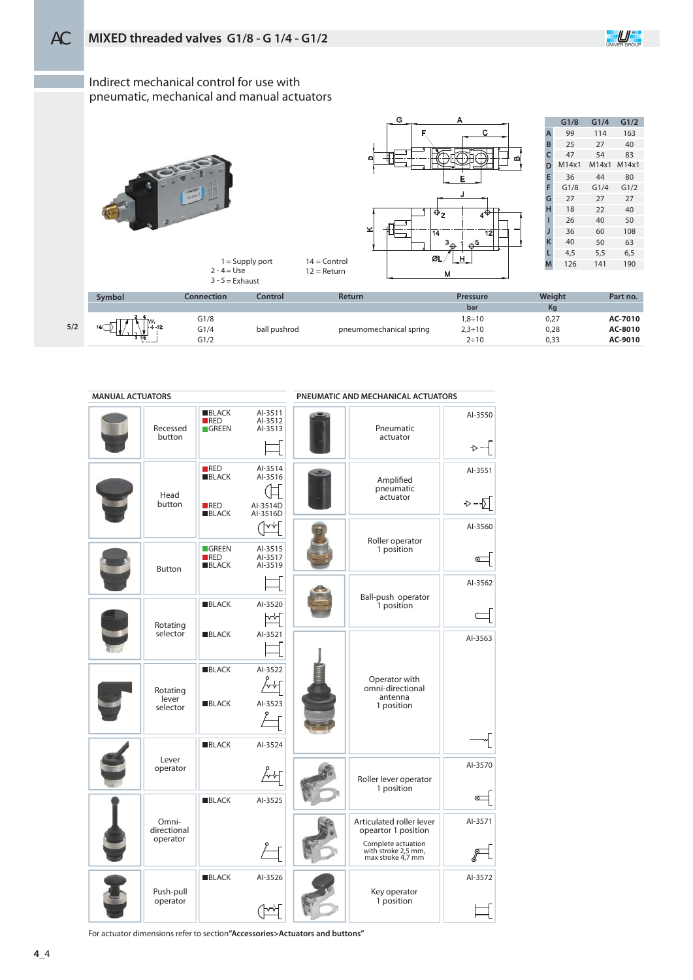

Indirect mechanical control for use with pneumatic, mechanical and manual actuators

> = Use = Exhaust





|                | G1/8  | G1/4  | G1/2  |
|----------------|-------|-------|-------|
| $\overline{A}$ | 99    | 114   | 163   |
| B              | 25    | 27    | 40    |
| c              | 47    | 54    | 83    |
| D              | M14x1 | M14x1 | M14x1 |
| E              | 36    | 44    | 80    |
| F              | G1/8  | G1/4  | G1/2  |
| G              | 27    | 27    | 27    |
| н              | 18    | 22    | 40    |
| ı              | 26    | 40    | 50    |
| Л              | 36    | 60    | 108   |
| ĸ              | 40    | 50    | 63    |
| L              | 4,5   | 5,5   | 6.5   |
| М              | 126   | 141   | 190   |

|     | Symbol | Connection | Control      | <b>Return</b>           | Pressure      | Weight | Part no. |
|-----|--------|------------|--------------|-------------------------|---------------|--------|----------|
|     |        |            |              |                         | bar           | Kq     |          |
|     |        | G1/8       |              |                         | $1,8 \div 10$ | 0,27   | AC-7010  |
| 5/2 | 140    | G1/4       | ball pushrod | pneumomechanical spring | $2,3 \div 10$ | 0,28   | AC-8010  |
|     | -----  | G1/2       |              |                         | $2 \div 10$   | 0,33   | AC-9010  |

14 = Control 12 = Return

| <b>MANUAL ACTUATORS</b> |                                  |                                            |                                            | PNEUMATIC AND MECHANICAL ACTUATORS                                                                                |                     |
|-------------------------|----------------------------------|--------------------------------------------|--------------------------------------------|-------------------------------------------------------------------------------------------------------------------|---------------------|
|                         | Recessed<br>button               | <b>BLACK</b><br>RED<br><b>GREEN</b>        | AI-3511<br>Al-3512<br>AI-3513              | Pneumatic<br>actuator                                                                                             | Al-3550<br>→−⊣      |
|                         | Head<br>button                   | RED<br><b>BLACK</b><br>RED<br><b>BLACK</b> | Al-3514<br>Al-3516<br>Al-3514D<br>Al-3516D | Amplified<br>pneumatic<br>actuator                                                                                | AI-3551<br>⊹−√      |
|                         | <b>Button</b>                    | <b>GREEN</b><br>RED<br><b>BLACK</b>        | h∿∵<br>Al-3515<br>Al-3517<br>AI-3519       | Roller operator<br>1 position                                                                                     | Al-3560<br>⊙        |
|                         | Rotating                         | <b>BLACK</b>                               | Al-3520<br>₩                               | Ball-push operator<br>1 position                                                                                  | Al-3562             |
|                         | selector                         | <b>BLACK</b><br><b>BLACK</b>               | AI-3521<br>Al-3522                         | Operator with                                                                                                     | Al-3563             |
|                         | Rotating<br>lever<br>selector    | <b>BLACK</b>                               | Al-3523                                    | omni-directional<br>antenna<br>1 position                                                                         |                     |
|                         | Lever<br>operator                | <b>BLACK</b>                               | AI-3524                                    | Roller lever operator<br>1 position                                                                               | Al-3570             |
|                         | Omni-<br>directional<br>operator | <b>BLACK</b>                               | Al-3525                                    | Articulated roller lever<br>opeartor 1 position<br>Complete actuation<br>with stroke 2,5 mm,<br>max stroke 4,7 mm | $\sigma$<br>Al-3571 |
|                         | Push-pull<br>operator            | <b>BLACK</b>                               | Al-3526                                    | Key operator<br>1 position                                                                                        | Al-3572             |

For actuator dimensions refer to section**"Accessories>Actuators and buttons"**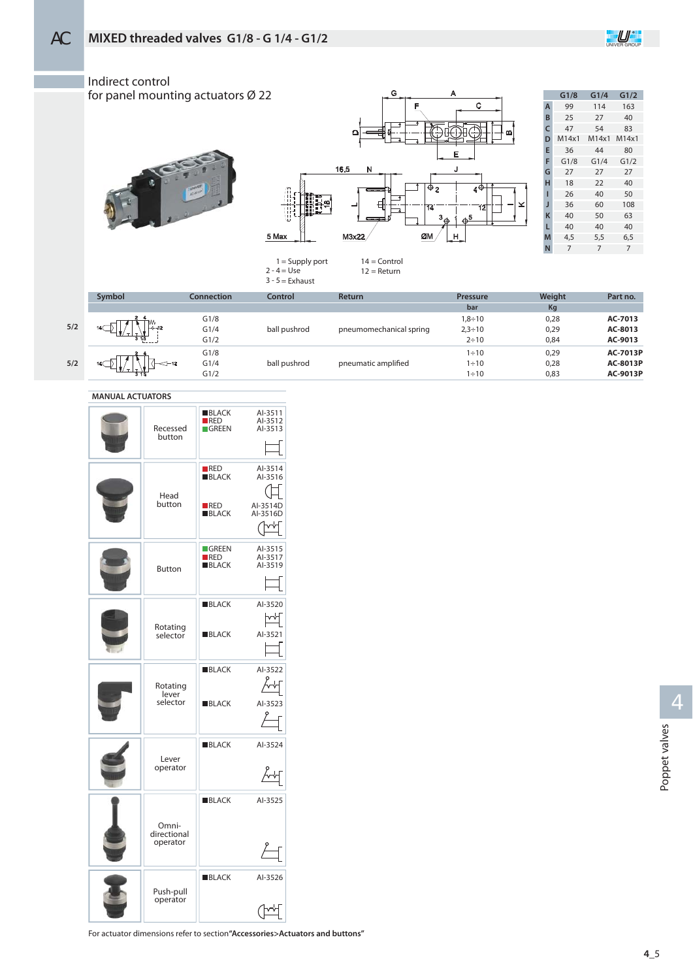



| <b>MANUAL ACTUATORS</b> |  |
|-------------------------|--|
|                         |  |

| Recessed<br>button               | <b>BLACK</b><br>RED<br><b>GREEN</b>        | AI-3511<br>Al-3512<br>Al-3513                   |
|----------------------------------|--------------------------------------------|-------------------------------------------------|
| Head<br>button                   | RED<br><b>BLACK</b><br>RED<br><b>BLACK</b> | Al-3514<br>Al-3516<br>Al-3514D<br>Al-3516D<br>v |
| <b>Button</b>                    | GREEN<br>RED<br><b>BLACK</b>               | Al-3515<br>Al-3517<br>Al-3519                   |
| Rotating<br>selector             | <b>BLACK</b><br><b>BLACK</b>               | Al-3520<br>빠<br>Al-3521                         |
| Rotating<br>lever<br>selector    | <b>BLACK</b><br><b>BLACK</b>               | Al-3522<br>Al-3523                              |
| Lever<br>operator                | <b>BLACK</b>                               | Al-3524                                         |
| Omni-<br>directional<br>operator | <b>BLACK</b>                               | Al-3525                                         |
| Push-pull<br>operator            | <b>BLACK</b>                               | Al-3526                                         |

For actuator dimensions refer to section**"Accessories>Actuators and buttons"**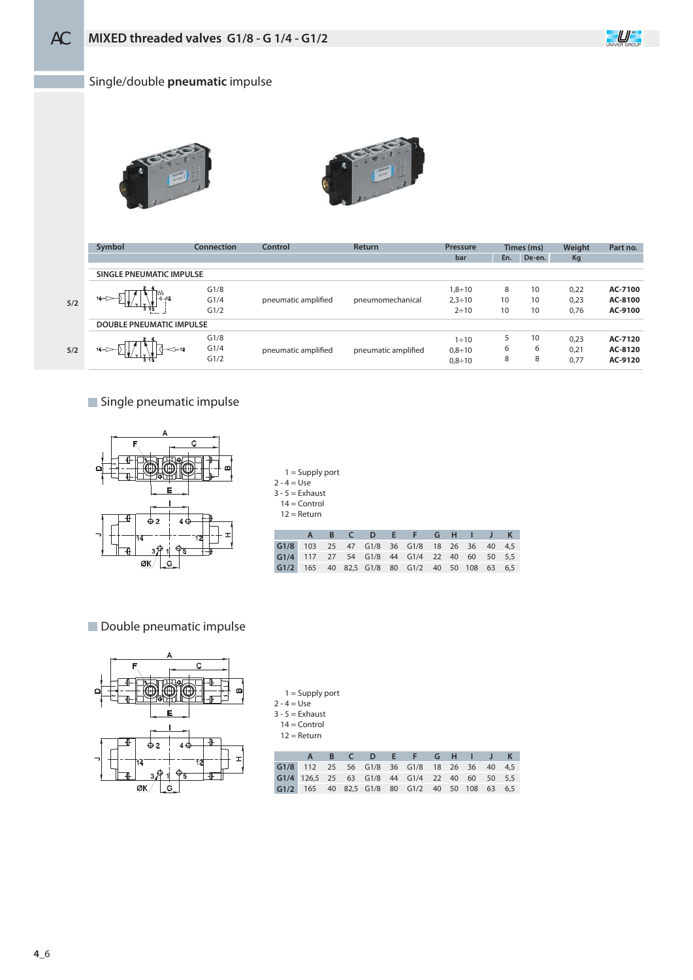

## Single/double **pneumatic** impulse





|     | Symbol                          | Connection | Control             | <b>Return</b>       | <b>Pressure</b> |     | Times (ms) | Weight | Part no. |
|-----|---------------------------------|------------|---------------------|---------------------|-----------------|-----|------------|--------|----------|
|     |                                 |            |                     |                     | bar             | En. | De-en.     | Kg     |          |
|     | SINGLE PNEUMATIC IMPULSE        |            |                     |                     |                 |     |            |        |          |
|     |                                 | G1/8       |                     |                     | $1,8 \div 10$   | 8   | 10         | 0,22   | AC-7100  |
| 5/2 | $14 -$                          | G1/4       | pneumatic amplified | pneumomechanical    | $2,3 \div 10$   | 10  | 10         | 0,23   | AC-8100  |
|     |                                 | G1/2       |                     |                     | $2 \div 10$     | 10  | 10         | 0,76   | AC-9100  |
|     | <b>DOUBLE PNEUMATIC IMPULSE</b> |            |                     |                     |                 |     |            |        |          |
|     |                                 | G1/8       |                     |                     | $1 \div 10$     |     | 10         | 0,23   | AC-7120  |
| 5/2 | $14 -$                          | G1/4       | pneumatic amplified | pneumatic amplified | $0,8 \div 10$   | 6   | 6          | 0,21   | AC-8120  |
|     |                                 | G1/2       |                     |                     | $0,8 \div 10$   | 8   | 8          | 0,77   | AC-9120  |
|     |                                 |            |                     |                     |                 |     |            |        |          |

Single pneumatic impulse



| $2 - 4 = Use$<br>$3 - 5 =$ Exhaust | $1 =$ Supply port<br>$14 =$ Control<br>$12 =$ Return |    |    |      |    |      |    |    |    |    |     |
|------------------------------------|------------------------------------------------------|----|----|------|----|------|----|----|----|----|-----|
|                                    | А                                                    | B  |    | D    | Е  | F    | G  | H  |    |    | K   |
| G1/8                               | 103                                                  | 25 | 47 | G1/8 | 36 | G1/8 | 18 | 26 | 36 | 40 | 4,5 |
| G1/4                               | 117                                                  | 27 | 54 | G1/8 | 44 | G1/4 | 22 | 40 | 60 | 50 | 5.5 |

80

G1/8

82,5

40

165

6,5

63

108

50

40

G1/2

**Double pneumatic impulse** 



| $1 =$ Supply port |  |  |  |
|-------------------|--|--|--|
| $2 - 4 = Use$     |  |  |  |
| $3 - 5 =$ Exhaust |  |  |  |
| $14 =$ Control    |  |  |  |
| $12 =$ Return     |  |  |  |
|                   |  |  |  |
|                   |  |  |  |

**G1/2**

|  |  |  | B C D E F G H I J K                            |  |  |  |
|--|--|--|------------------------------------------------|--|--|--|
|  |  |  | G1/8 112 25 56 G1/8 36 G1/8 18 26 36 40 4,5    |  |  |  |
|  |  |  | G1/4 126,5 25 63 G1/8 44 G1/4 22 40 60 50 5,5  |  |  |  |
|  |  |  | G1/2 165 40 82,5 G1/8 80 G1/2 40 50 108 63 6,5 |  |  |  |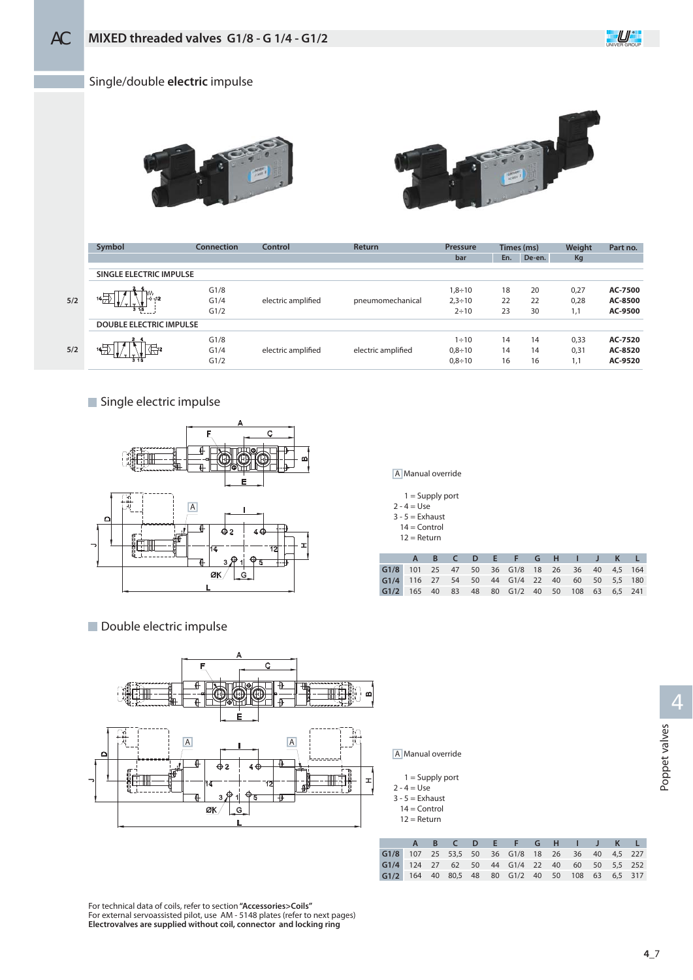

#### Single/double **electric** impulse





| Symbol          | Connection | Control                                                   | <b>Return</b>      | Pressure      |     |        | Weight     | Part no. |
|-----------------|------------|-----------------------------------------------------------|--------------------|---------------|-----|--------|------------|----------|
|                 |            |                                                           |                    | bar           | En. | De-en. | Kg         |          |
|                 |            |                                                           |                    |               |     |        |            |          |
| 3 1 5           | G1/8       |                                                           |                    | $1.8 \div 10$ | 18  | 20     | 0,27       | AC-7500  |
|                 | G1/4       | electric amplified                                        | pneumomechanical   | $2,3 \div 10$ | 22  | 22     | 0,28       | AC-8500  |
|                 | G1/2       |                                                           |                    | $2 \div 10$   | 23  | 30     | 1,1        | AC-9500  |
|                 |            |                                                           |                    |               |     |        |            |          |
|                 | G1/8       |                                                           |                    | $1 \div 10$   | 14  | 14     | 0,33       | AC-7520  |
| $\frac{14}{17}$ | G1/4       | electric amplified                                        | electric amplified | $0.8 \div 10$ | 14  | 14     | 0,31       | AC-8520  |
|                 | G1/2       |                                                           |                    | $0.8 \div 10$ | 16  | 16     | 1,1        | AC-9520  |
|                 |            | SINGLE ELECTRIC IMPULSE<br><b>DOUBLE ELECTRIC IMPULSE</b> |                    |               |     |        | Times (ms) |          |

Single electric impulse



- 
- **Double electric impulse**



A Manual override

| $1 =$ Supply port |
|-------------------|
| $2 - 4 = Use$     |
| $3 - 5 =$ Exhaust |
| $14 =$ Control    |

|  | Refurn |
|--|--------|
|  |        |

|                                                |  |  | A B C D E F G H I J K L |  |  |  |
|------------------------------------------------|--|--|-------------------------|--|--|--|
| G1/8 101 25 47 50 36 G1/8 18 26 36 40 4,5 164  |  |  |                         |  |  |  |
| G1/4 116 27 54 50 44 G1/4 22 40 60 50 5,5 180  |  |  |                         |  |  |  |
| G1/2 165 40 83 48 80 G1/2 40 50 108 63 6,5 241 |  |  |                         |  |  |  |

A Manual override

- = Supply port 1
- = Use  $2 - 4$
- $3 5 =$ Exhaust
- $14 =$  Control
- $12 =$  Return

|                                                  |  |  | A B C D E F G H I J K L |  |  |  |
|--------------------------------------------------|--|--|-------------------------|--|--|--|
| G1/8 107 25 53,5 50 36 G1/8 18 26 36 40 4,5 227  |  |  |                         |  |  |  |
| G1/4 124 27 62 50 44 G1/4 22 40 60 50 5,5 252    |  |  |                         |  |  |  |
| G1/2 164 40 80,5 48 80 G1/2 40 50 108 63 6,5 317 |  |  |                         |  |  |  |

For technical data of coils, refer to section **"Accessories>Coils"** For external servoassisted pilot, use AM - 5148 plates (refer to next pages) **Electrovalves are supplied without coil, connector and locking ring**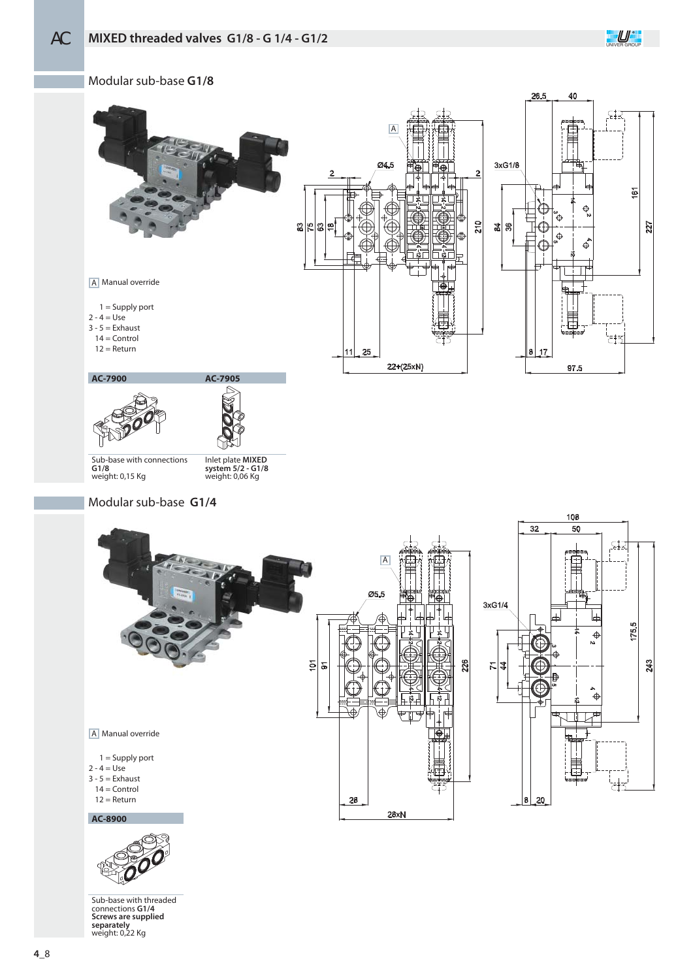

Modular sub-base **G1/8**